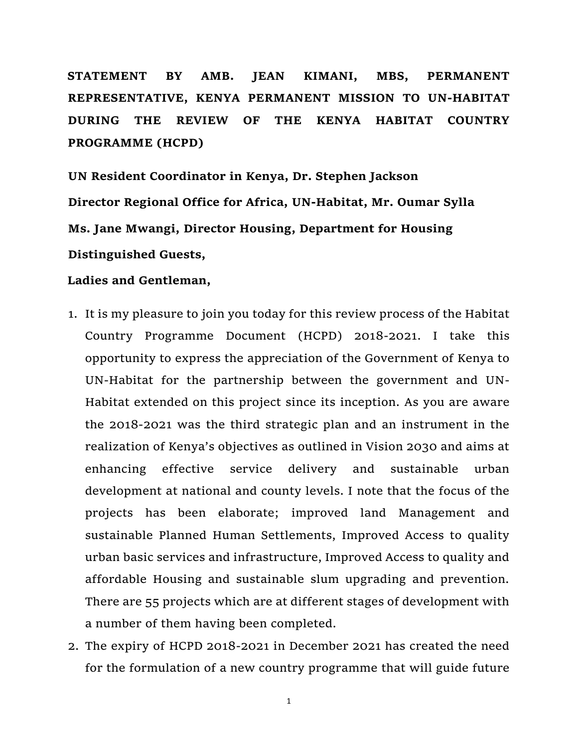**STATEMENT BY AMB. JEAN KIMANI, MBS, PERMANENT REPRESENTATIVE, KENYA PERMANENT MISSION TO UN-HABITAT DURING THE REVIEW OF THE KENYA HABITAT COUNTRY PROGRAMME (HCPD)**

**UN Resident Coordinator in Kenya, Dr. Stephen Jackson Director Regional Office for Africa, UN-Habitat, Mr. Oumar Sylla Ms. Jane Mwangi, Director Housing, Department for Housing Distinguished Guests,**

## **Ladies and Gentleman,**

- 1. It is my pleasure to join you today for this review process of the Habitat Country Programme Document (HCPD) 2018-2021. I take this opportunity to express the appreciation of the Government of Kenya to UN-Habitat for the partnership between the government and UN-Habitat extended on this project since its inception. As you are aware the 2018-2021 was the third strategic plan and an instrument in the realization of Kenya's objectives as outlined in Vision 2030 and aims at enhancing effective service delivery and sustainable urban development at national and county levels. I note that the focus of the projects has been elaborate; improved land Management and sustainable Planned Human Settlements, Improved Access to quality urban basic services and infrastructure, Improved Access to quality and affordable Housing and sustainable slum upgrading and prevention. There are 55 projects which are at different stages of development with a number of them having been completed.
- 2. The expiry of HCPD 2018-2021 in December 2021 has created the need for the formulation of a new country programme that will guide future

1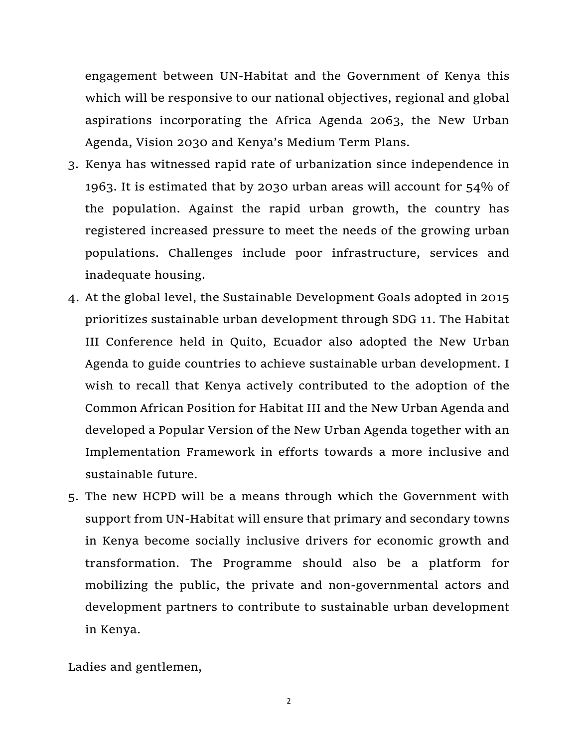engagement between UN-Habitat and the Government of Kenya this which will be responsive to our national objectives, regional and global aspirations incorporating the Africa Agenda 2063, the New Urban Agenda, Vision 2030 and Kenya's Medium Term Plans.

- 3. Kenya has witnessed rapid rate of urbanization since independence in 1963. It is estimated that by 2030 urban areas will account for 54% of the population. Against the rapid urban growth, the country has registered increased pressure to meet the needs of the growing urban populations. Challenges include poor infrastructure, services and inadequate housing.
- 4. At the global level, the Sustainable Development Goals adopted in 2015 prioritizes sustainable urban development through SDG 11. The Habitat III Conference held in Quito, Ecuador also adopted the New Urban Agenda to guide countries to achieve sustainable urban development. I wish to recall that Kenya actively contributed to the adoption of the Common African Position for Habitat III and the New Urban Agenda and developed a Popular Version of the New Urban Agenda together with an Implementation Framework in efforts towards a more inclusive and sustainable future.
- 5. The new HCPD will be a means through which the Government with support from UN-Habitat will ensure that primary and secondary towns in Kenya become socially inclusive drivers for economic growth and transformation. The Programme should also be a platform for mobilizing the public, the private and non-governmental actors and development partners to contribute to sustainable urban development in Kenya.

Ladies and gentlemen,